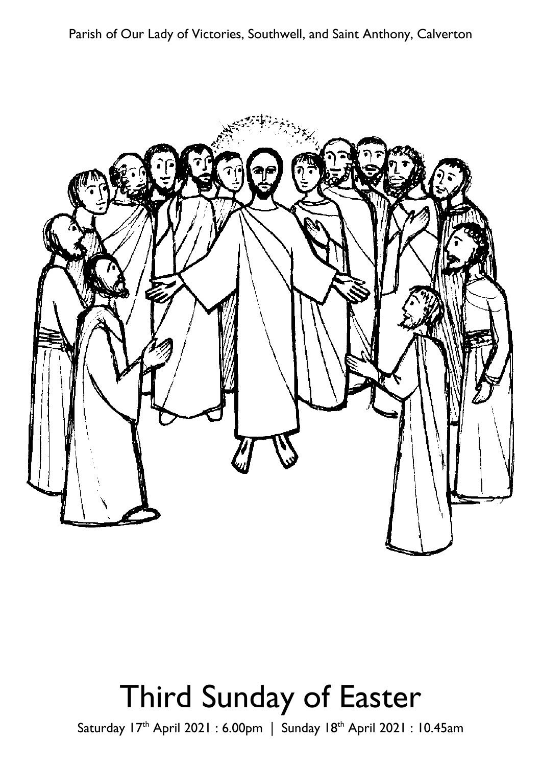Parish of Our Lady of Victories, Southwell, and Saint Anthony, Calverton



# **Third Sunday of Easter**

Saturday 17<sup>th</sup> April 2021: 6.00pm | Sunday 18<sup>th</sup> April 2021: 10.45am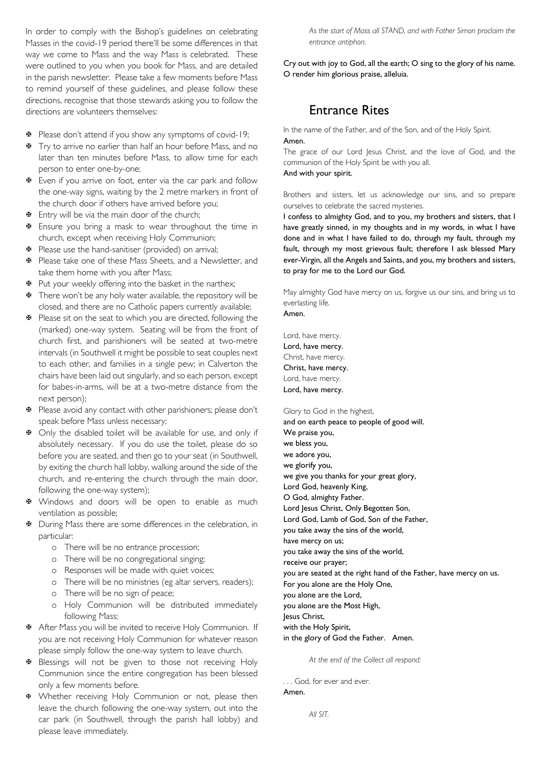In order to comply with the Bishop's guidelines on celebrating Masses in the covid-19 period there'll be some differences in that way we come to Mass and the way Mass is celebrated. These were outlined to you when you book for Mass, and are detailed in the parish newsletter. Please take a few moments before Mass to remind yourself of these guidelines, and please follow these directions, recognise that those stewards asking you to follow the directions are volunteers themselves:

- **※** Please don't attend if you show any symptoms of covid-19;
- $\overline{∗}$  Try to arrive no earlier than half an hour before Mass, and no later than ten minutes before Mass, to allow time for each person to enter one-by-one;
- $\Phi$  Even if you arrive on foot, enter via the car park and follow the one-way signs, waiting by the 2 metre markers in front of the church door if others have arrived before you;
- $\overline{•}$  Entry will be via the main door of the church:
- $\Phi$  Ensure you bring a mask to wear throughout the time in church, except when receiving Holy Communion;
- $\Phi$  Please use the hand-sanitiser (provided) on arrival;
- $\overline{∗}$  Please take one of these Mass Sheets, and a Newsletter, and take them home with you after Mass;
- $\Phi$  Put your weekly offering into the basket in the narthex;
- There won't be any holy water available, the repository will be closed, and there are no Catholic papers currently available;
- $\overline{∗}$  Please sit on the seat to which you are directed, following the (marked) one-way system. Seating will be from the front of church first, and parishioners will be seated at two-metre intervals (in Southwell it might be possible to seat couples next to each other, and families in a single pew; in Calverton the chairs have been laid out singularly, and so each person, except for babes-in-arms, will be at a two-metre distance from the next person):
- $\overline{∗}$  Please avoid any contact with other parishioners; please don't speak before Mass unless necessary;
- $\Phi$  Only the disabled toilet will be available for use, and only if absolutely necessary. If you do use the toilet, please do so before you are seated, and then go to your seat (in Southwell, by exiting the church hall lobby, walking around the side of the church, and re-entering the church through the main door, following the one-way system);
- \* Windows and doors will be open to enable as much ventilation as possible;
- $\Phi$  During Mass there are some differences in the celebration, in particular:
	- o There will be no entrance procession;
	- o There will be no congregational singing;
	- o Responses will be made with quiet voices;
	- o There will be no ministries (eg altar servers, readers);
	- o There will be no sign of peace;
	- o Holy Communion will be distributed immediately following Mass;
- After Mass you will be invited to receive Holy Communion. If you are not receiving Holy Communion for whatever reason please simply follow the one-way system to leave church.
- **E** Blessings will not be given to those not receiving Holy Communion since the entire congregation has been blessed only a few moments before.
- \* Whether receiving Holy Communion or not, please then leave the church following the one-way system, out into the car park (in Southwell, through the parish hall lobby) and please leave immediately.

As the start of Mass all STAND, and with Father Simon proclaim the entrance antiphon.

Cry out with joy to God, all the earth; O sing to the glory of his name. O render him glorious praise, alleluia.

## **Entrance Rites**

In the name of the Father, and of the Son, and of the Holy Spirit. Amen

The grace of our Lord Jesus Christ, and the love of God, and the communion of the Holy Spirit be with you all. And with your spirit.

Brothers and sisters, let us acknowledge our sins, and so prepare ourselves to celebrate the sacred mysteries.

I confess to almighty God, and to you, my brothers and sisters, that I have greatly sinned, in my thoughts and in my words, in what I have done and in what I have failed to do, through my fault, through my fault, through my most grievous fault; therefore I ask blessed Mary ever-Virgin, all the Angels and Saints, and you, my brothers and sisters, to pray for me to the Lord our God.

May almighty God have mercy on us, forgive us our sins, and bring us to everlasting life.

Amen.

Lord, have mercy. Lord, have mercy. Christ, have mercy. Christ, have mercy. Lord, have mercy. Lord, have mercy.

Glory to God in the highest, and on earth peace to people of good will.

We praise you, we bless you, we adore you, we glorify you, we give you thanks for your great glory, Lord God, heavenly King, O God, almighty Father. Lord Jesus Christ, Only Begotten Son. Lord God, Lamb of God, Son of the Father, you take away the sins of the world, have mercy on us; you take away the sins of the world, receive our prayer; you are seated at the right hand of the Father, have mercy on us. For you alone are the Holy One. you alone are the Lord, you alone are the Most High, lesus Christ. with the Holy Spirit, in the glory of God the Father. Amen.

At the end of the Collect all respond:

... God, for ever and ever.

## Amen.

All SIT.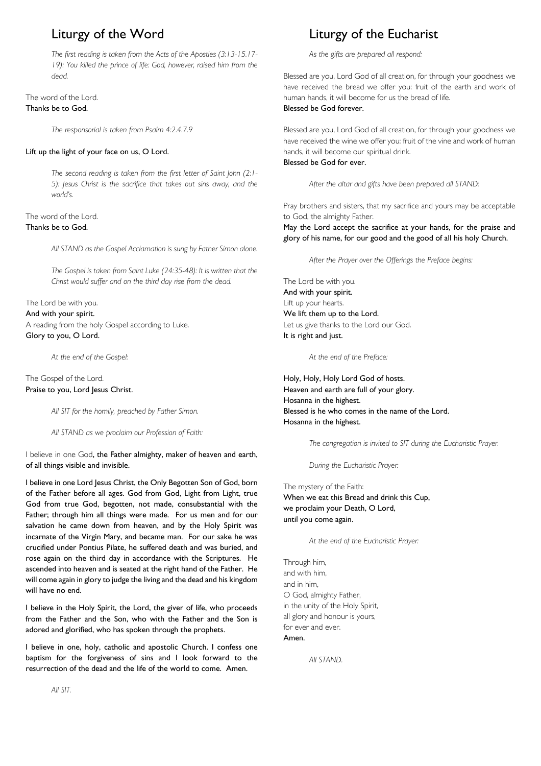# Liturgy of the Word

The first reading is taken from the Acts of the Apostles (3:13-15.17-19): You killed the prince of life: God, however, raised him from the  $d$ end

The word of the Lord. Thanks he to God

The responsorial is taken from Psalm 4:2.4.7.9

#### Lift up the light of your face on us, O Lord.

The second reading is taken from the first letter of Saint John (2:1-5): Jesus Christ is the sacrifice that takes out sins away, and the world's.

The word of the Lord. Thanks be to God.

All STAND as the Gospel Acclamation is sung by Father Simon alone.

The Gospel is taken from Saint Luke (24:35-48): It is written that the Christ would suffer and on the third day rise from the dead.

The Lord be with you. And with your spirit. A reading from the holy Gospel according to Luke. Glory to you, O Lord.

At the end of the Gospel:

### The Gospel of the Lord. Praise to you, Lord Jesus Christ.

All SIT for the homily, preached by Father Simon.

All STAND as we proclaim our Profession of Faith:

I believe in one God, the Father almighty, maker of heaven and earth, of all things visible and invisible.

I believe in one Lord Jesus Christ, the Only Begotten Son of God, born of the Father before all ages. God from God, Light from Light, true God from true God, begotten, not made, consubstantial with the Father; through him all things were made. For us men and for our salvation he came down from heaven, and by the Holy Spirit was incarnate of the Virgin Mary, and became man. For our sake he was crucified under Pontius Pilate, he suffered death and was buried, and rose again on the third day in accordance with the Scriptures. He ascended into heaven and is seated at the right hand of the Father. He will come again in glory to judge the living and the dead and his kingdom will have no end.

I believe in the Holy Spirit, the Lord, the giver of life, who proceeds from the Father and the Son, who with the Father and the Son is adored and glorified, who has spoken through the prophets.

I believe in one, holy, catholic and apostolic Church. I confess one baptism for the forgiveness of sins and I look forward to the resurrection of the dead and the life of the world to come. Amen.

As the gifts are prepared all respond:

Blessed are you. Lord God of all creation, for through your goodness we have received the bread we offer you: fruit of the earth and work of human hands, it will become for us the bread of life. Blessed he God forever

Blessed are you, Lord God of all creation, for through your goodness we have received the wine we offer you: fruit of the vine and work of human hands, it will become our spiritual drink.

## Blessed be God for ever.

After the altar and gifts have been prepared all STAND:

Pray brothers and sisters, that my sacrifice and yours may be acceptable to God, the almighty Father.

May the Lord accept the sacrifice at your hands, for the praise and glory of his name, for our good and the good of all his holy Church.

After the Prayer over the Offerings the Preface begins:

The Lord be with you. And with your spirit. Lift up your hearts. We lift them up to the Lord. Let us give thanks to the Lord our God. It is right and just.

At the end of the Preface:

Holy, Holy, Holy Lord God of hosts. Heaven and earth are full of your glory. Hosanna in the highest. Blessed is he who comes in the name of the Lord. Hosanna in the highest.

The congregation is invited to SIT during the Eucharistic Prayer.

During the Eucharistic Prayer.

The mystery of the Faith: When we eat this Bread and drink this Cup, we proclaim your Death, O Lord, until you come again.

At the end of the Eucharistic Prayer:

Through him, and with him. and in him. O God, almighty Father, in the unity of the Holy Spirit. all glory and honour is yours, for ever and ever. Amen

All STAND.